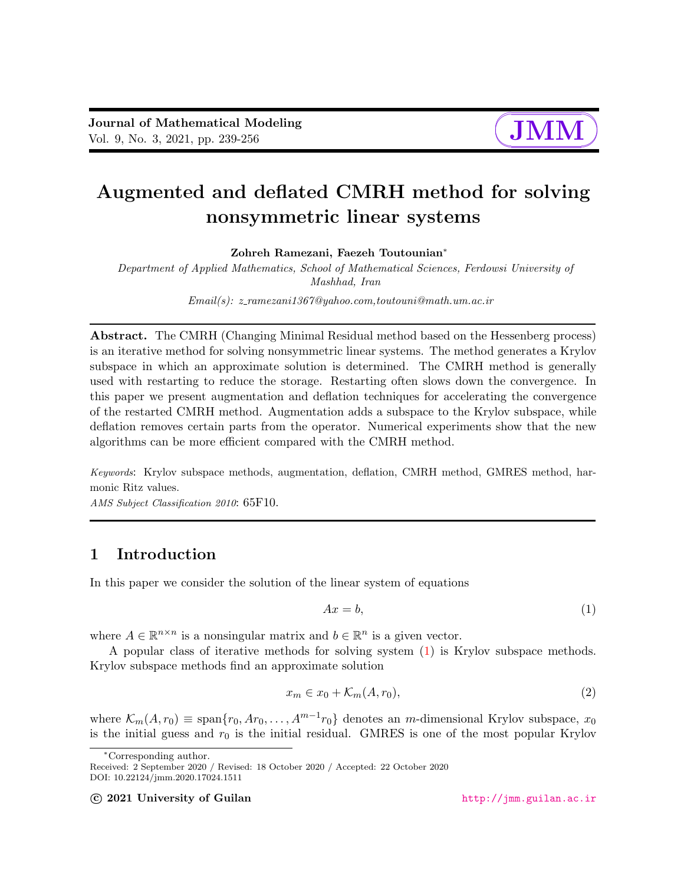# $\sqrt{a}$ ✚

✘

✙

# Augmented and deflated CMRH method for solving nonsymmetric linear systems

Zohreh Ramezani, Faezeh Toutounian<sup>∗</sup>

Department of Applied Mathematics, School of Mathematical Sciences, Ferdowsi University of Mashhad, Iran

Email(s): z ramezani1367@yahoo.com,toutouni@math.um.ac.ir

Abstract. The CMRH (Changing Minimal Residual method based on the Hessenberg process) is an iterative method for solving nonsymmetric linear systems. The method generates a Krylov subspace in which an approximate solution is determined. The CMRH method is generally used with restarting to reduce the storage. Restarting often slows down the convergence. In this paper we present augmentation and deflation techniques for accelerating the convergence of the restarted CMRH method. Augmentation adds a subspace to the Krylov subspace, while deflation removes certain parts from the operator. Numerical experiments show that the new algorithms can be more efficient compared with the CMRH method.

Keywords: Krylov subspace methods, augmentation, deflation, CMRH method, GMRES method, harmonic Ritz values.

AMS Subject Classification 2010: 65F10.

# 1 Introduction

In this paper we consider the solution of the linear system of equations

<span id="page-0-0"></span>
$$
Ax = b,\tag{1}
$$

where  $A \in \mathbb{R}^{n \times n}$  is a nonsingular matrix and  $b \in \mathbb{R}^n$  is a given vector.

A popular class of iterative methods for solving system [\(1\)](#page-0-0) is Krylov subspace methods. Krylov subspace methods find an approximate solution

$$
x_m \in x_0 + \mathcal{K}_m(A, r_0), \tag{2}
$$

where  $\mathcal{K}_m(A, r_0) \equiv \text{span}\{r_0, Ar_0, \ldots, A^{m-1}r_0\}$  denotes an *m*-dimensional Krylov subspace,  $x_0$ is the initial guess and  $r_0$  is the initial residual. GMRES is one of the most popular Krylov

c 2021 University of Guilan <http://jmm.guilan.ac.ir>

<sup>∗</sup>Corresponding author.

Received: 2 September 2020 / Revised: 18 October 2020 / Accepted: 22 October 2020 DOI: 10.22124/jmm.2020.17024.1511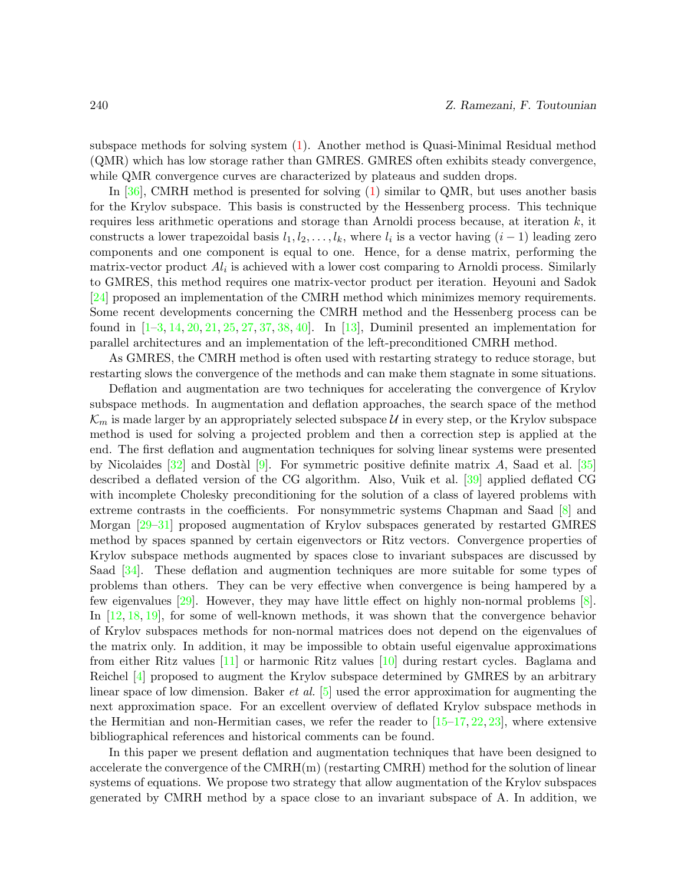subspace methods for solving system [\(1\)](#page-0-0). Another method is Quasi-Minimal Residual method (QMR) which has low storage rather than GMRES. GMRES often exhibits steady convergence, while QMR convergence curves are characterized by plateaus and sudden drops.

In [\[36\]](#page-17-0), CMRH method is presented for solving [\(1\)](#page-0-0) similar to QMR, but uses another basis for the Krylov subspace. This basis is constructed by the Hessenberg process. This technique requires less arithmetic operations and storage than Arnoldi process because, at iteration k, it constructs a lower trapezoidal basis  $l_1, l_2, \ldots, l_k$ , where  $l_i$  is a vector having  $(i-1)$  leading zero components and one component is equal to one. Hence, for a dense matrix, performing the matrix-vector product  $Al<sub>i</sub>$  is achieved with a lower cost comparing to Arnoldi process. Similarly to GMRES, this method requires one matrix-vector product per iteration. Heyouni and Sadok [\[24\]](#page-16-0) proposed an implementation of the CMRH method which minimizes memory requirements. Some recent developments concerning the CMRH method and the Hessenberg process can be found in  $[1-3, 14, 20, 21, 25, 27, 37, 38, 40]$  $[1-3, 14, 20, 21, 25, 27, 37, 38, 40]$  $[1-3, 14, 20, 21, 25, 27, 37, 38, 40]$  $[1-3, 14, 20, 21, 25, 27, 37, 38, 40]$  $[1-3, 14, 20, 21, 25, 27, 37, 38, 40]$  $[1-3, 14, 20, 21, 25, 27, 37, 38, 40]$  $[1-3, 14, 20, 21, 25, 27, 37, 38, 40]$  $[1-3, 14, 20, 21, 25, 27, 37, 38, 40]$  $[1-3, 14, 20, 21, 25, 27, 37, 38, 40]$  $[1-3, 14, 20, 21, 25, 27, 37, 38, 40]$  $[1-3, 14, 20, 21, 25, 27, 37, 38, 40]$  $[1-3, 14, 20, 21, 25, 27, 37, 38, 40]$  $[1-3, 14, 20, 21, 25, 27, 37, 38, 40]$  $[1-3, 14, 20, 21, 25, 27, 37, 38, 40]$  $[1-3, 14, 20, 21, 25, 27, 37, 38, 40]$  $[1-3, 14, 20, 21, 25, 27, 37, 38, 40]$  $[1-3, 14, 20, 21, 25, 27, 37, 38, 40]$  $[1-3, 14, 20, 21, 25, 27, 37, 38, 40]$ . In [\[13\]](#page-15-2), Duminil presented an implementation for parallel architectures and an implementation of the left-preconditioned CMRH method.

As GMRES, the CMRH method is often used with restarting strategy to reduce storage, but restarting slows the convergence of the methods and can make them stagnate in some situations.

Deflation and augmentation are two techniques for accelerating the convergence of Krylov subspace methods. In augmentation and deflation approaches, the search space of the method  $\mathcal{K}_m$  is made larger by an appropriately selected subspace U in every step, or the Krylov subspace method is used for solving a projected problem and then a correction step is applied at the end. The first deflation and augmentation techniques for solving linear systems were presented by Nicolaides  $[32]$  and Dostàl  $[9]$ . For symmetric positive definite matrix A, Saad et al.  $[35]$ described a deflated version of the CG algorithm. Also, Vuik et al. [\[39\]](#page-17-4) applied deflated CG with incomplete Cholesky preconditioning for the solution of a class of layered problems with extreme contrasts in the coefficients. For nonsymmetric systems Chapman and Saad [\[8\]](#page-15-4) and Morgan [\[29](#page-16-7)[–31\]](#page-16-8) proposed augmentation of Krylov subspaces generated by restarted GMRES method by spaces spanned by certain eigenvectors or Ritz vectors. Convergence properties of Krylov subspace methods augmented by spaces close to invariant subspaces are discussed by Saad [\[34\]](#page-16-9). These deflation and augmention techniques are more suitable for some types of problems than others. They can be very effective when convergence is being hampered by a few eigenvalues [\[29\]](#page-16-7). However, they may have little effect on highly non-normal problems [\[8\]](#page-15-4). In [\[12,](#page-15-5) [18,](#page-15-6) [19\]](#page-16-10), for some of well-known methods, it was shown that the convergence behavior of Krylov subspaces methods for non-normal matrices does not depend on the eigenvalues of the matrix only. In addition, it may be impossible to obtain useful eigenvalue approximations from either Ritz values [\[11\]](#page-15-7) or harmonic Ritz values [\[10\]](#page-15-8) during restart cycles. Baglama and Reichel [\[4\]](#page-15-9) proposed to augment the Krylov subspace determined by GMRES by an arbitrary linear space of low dimension. Baker *et al.* [\[5\]](#page-15-10) used the error approximation for augmenting the next approximation space. For an excellent overview of deflated Krylov subspace methods in the Hermitian and non-Hermitian cases, we refer the reader to  $[15-17, 22, 23]$  $[15-17, 22, 23]$  $[15-17, 22, 23]$  $[15-17, 22, 23]$  $[15-17, 22, 23]$  $[15-17, 22, 23]$ , where extensive bibliographical references and historical comments can be found.

In this paper we present deflation and augmentation techniques that have been designed to accelerate the convergence of the CMRH(m) (restarting CMRH) method for the solution of linear systems of equations. We propose two strategy that allow augmentation of the Krylov subspaces generated by CMRH method by a space close to an invariant subspace of A. In addition, we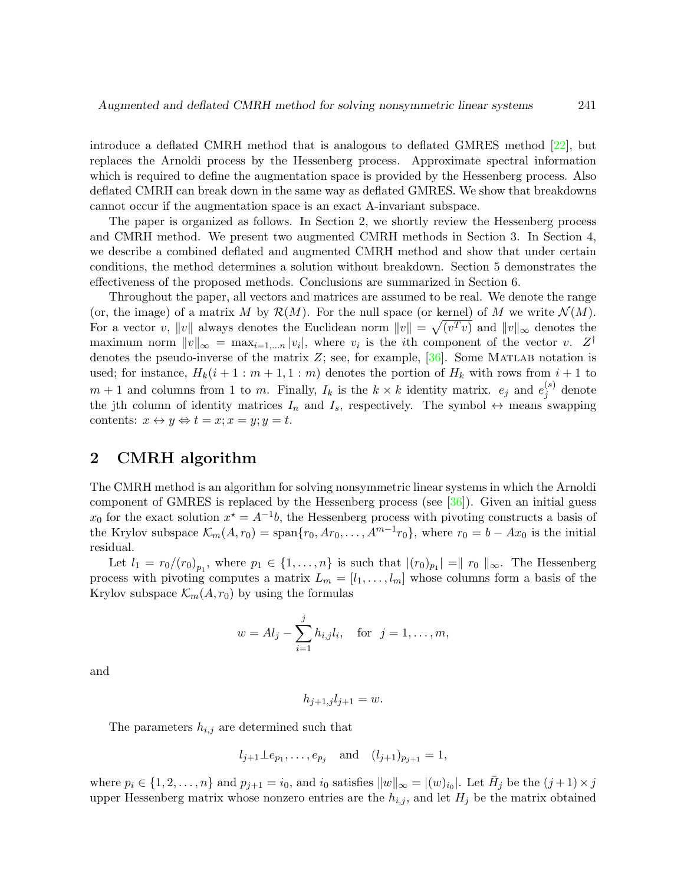introduce a deflated CMRH method that is analogous to deflated GMRES method [\[22\]](#page-16-11), but replaces the Arnoldi process by the Hessenberg process. Approximate spectral information which is required to define the augmentation space is provided by the Hessenberg process. Also deflated CMRH can break down in the same way as deflated GMRES. We show that breakdowns cannot occur if the augmentation space is an exact A-invariant subspace.

The paper is organized as follows. In Section 2, we shortly review the Hessenberg process and CMRH method. We present two augmented CMRH methods in Section 3. In Section 4, we describe a combined deflated and augmented CMRH method and show that under certain conditions, the method determines a solution without breakdown. Section 5 demonstrates the effectiveness of the proposed methods. Conclusions are summarized in Section 6.

Throughout the paper, all vectors and matrices are assumed to be real. We denote the range (or, the image) of a matrix M by  $\mathcal{R}(M)$ . For the null space (or kernel) of M we write  $\mathcal{N}(M)$ . For a vector v,  $||v||$  always denotes the Euclidean norm  $||v|| = \sqrt{(v^T v)}$  and  $||v||_{\infty}$  denotes the maximum norm  $||v||_{\infty} = \max_{i=1,...n} |v_i|$ , where  $v_i$  is the *i*th component of the vector v.  $Z^{\dagger}$ denotes the pseudo-inverse of the matrix  $Z$ ; see, for example,  $[36]$ . Some MATLAB notation is used; for instance,  $H_k(i+1:m+1,1:m)$  denotes the portion of  $H_k$  with rows from  $i+1$  to  $m+1$  and columns from 1 to m. Finally,  $I_k$  is the  $k \times k$  identity matrix.  $e_j$  and  $e_j^{(s)}$  $j^{(s)}$  denote the jth column of identity matrices  $I_n$  and  $I_s$ , respectively. The symbol  $\leftrightarrow$  means swapping contents:  $x \leftrightarrow y \Leftrightarrow t = x; x = y; y = t$ .

## 2 CMRH algorithm

The CMRH method is an algorithm for solving nonsymmetric linear systems in which the Arnoldi component of GMRES is replaced by the Hessenberg process (see [\[36\]](#page-17-0)). Given an initial guess  $x_0$  for the exact solution  $x^* = A^{-1}b$ , the Hessenberg process with pivoting constructs a basis of the Krylov subspace  $\mathcal{K}_m(A, r_0) = \text{span}\{r_0, Ar_0, \ldots, A^{m-1}r_0\}$ , where  $r_0 = b - Ax_0$  is the initial residual.

Let  $l_1 = r_0/(r_0)_{p_1}$ , where  $p_1 \in \{1, \ldots, n\}$  is such that  $|(r_0)_{p_1}| = ||r_0||_{\infty}$ . The Hessenberg process with pivoting computes a matrix  $L_m = [l_1, \ldots, l_m]$  whose columns form a basis of the Krylov subspace  $\mathcal{K}_m(A, r_0)$  by using the formulas

$$
w = Al_j - \sum_{i=1}^{j} h_{i,j} l_i
$$
, for  $j = 1, ..., m$ ,

and

$$
h_{j+1,j}l_{j+1} = w.
$$

The parameters  $h_{i,j}$  are determined such that

$$
l_{j+1} \perp e_{p_1}, \ldots, e_{p_j}
$$
 and  $(l_{j+1})_{p_{j+1}} = 1$ ,

where  $p_i \in \{1, 2, \ldots, n\}$  and  $p_{j+1} = i_0$ , and  $i_0$  satisfies  $||w||_{\infty} = |(w)_{i_0}|$ . Let  $\bar{H}_j$  be the  $(j+1) \times j$ upper Hessenberg matrix whose nonzero entries are the  $h_{i,j}$ , and let  $H_j$  be the matrix obtained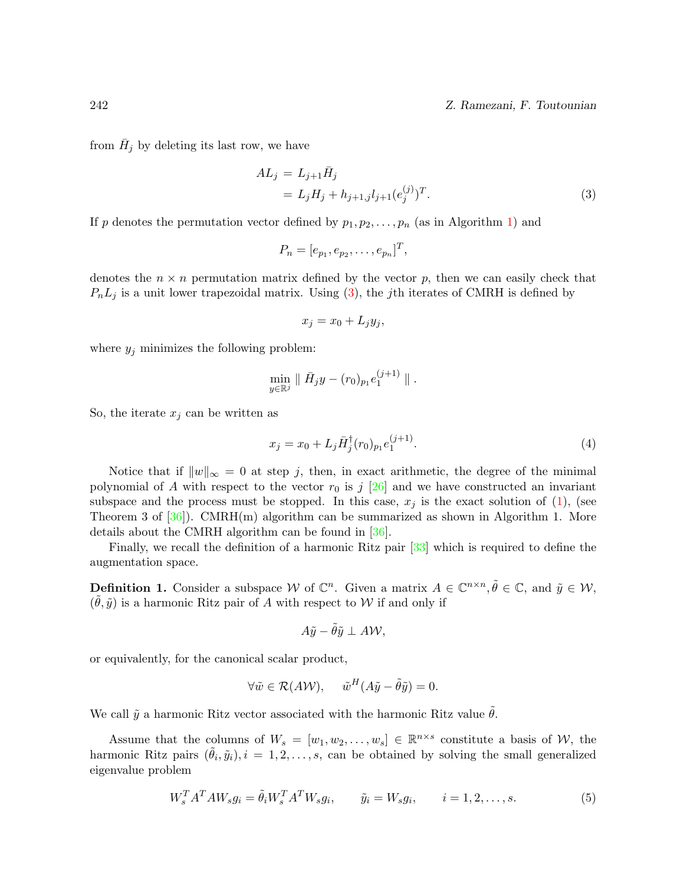242 Z. Ramezani, F. Toutounian

from  $\bar{H}_j$  by deleting its last row, we have

<span id="page-3-0"></span>
$$
AL_j = L_{j+1}\bar{H}_j
$$
  
= L\_jH\_j + h\_{j+1,j}l\_{j+1}(e\_j^{(j)})^T. (3)

If p denotes the permutation vector defined by  $p_1, p_2, \ldots, p_n$  (as in Algorithm [1\)](#page-4-0) and

$$
P_n=[e_{p_1},e_{p_2},\ldots,e_{p_n}]^T,
$$

denotes the  $n \times n$  permutation matrix defined by the vector p, then we can easily check that  $P_nL_j$  is a unit lower trapezoidal matrix. Using [\(3\)](#page-3-0), the jth iterates of CMRH is defined by

<span id="page-3-2"></span>
$$
x_j = x_0 + L_j y_j,
$$

where  $y_j$  minimizes the following problem:

$$
\min_{y\in\mathbb{R}^j}\parallel \bar H_j y-(r_0)_{p_1}e_1^{(j+1)}\parallel.
$$

So, the iterate  $x_j$  can be written as

$$
x_j = x_0 + L_j \bar{H}_j^{\dagger}(r_0)_{p_1} e_1^{(j+1)}.
$$
\n(4)

Notice that if  $||w||_{\infty} = 0$  at step j, then, in exact arithmetic, the degree of the minimal polynomial of A with respect to the vector  $r_0$  is j  $[26]$  and we have constructed an invariant subspace and the process must be stopped. In this case,  $x_j$  is the exact solution of [\(1\)](#page-0-0), (see Theorem 3 of  $[36]$ . CMRH(m) algorithm can be summarized as shown in Algorithm 1. More details about the CMRH algorithm can be found in [\[36\]](#page-17-0).

Finally, we recall the definition of a harmonic Ritz pair [\[33\]](#page-16-14) which is required to define the augmentation space.

**Definition 1.** Consider a subspace W of  $\mathbb{C}^n$ . Given a matrix  $A \in \mathbb{C}^{n \times n}$ ,  $\tilde{\theta} \in \mathbb{C}$ , and  $\tilde{y} \in \mathcal{W}$ ,  $(\tilde{\theta}, \tilde{y})$  is a harmonic Ritz pair of A with respect to W if and only if

<span id="page-3-1"></span>
$$
A\tilde{y}-\tilde{\theta}\tilde{y}\perp A\mathcal{W},
$$

or equivalently, for the canonical scalar product,

$$
\forall \tilde{w} \in \mathcal{R}(A\mathcal{W}), \quad \tilde{w}^H(A\tilde{y} - \tilde{\theta}\tilde{y}) = 0.
$$

We call  $\tilde{y}$  a harmonic Ritz vector associated with the harmonic Ritz value  $\tilde{\theta}$ .

Assume that the columns of  $W_s = [w_1, w_2, \dots, w_s] \in \mathbb{R}^{n \times s}$  constitute a basis of W, the harmonic Ritz pairs  $(\tilde{\theta}_i, \tilde{y}_i), i = 1, 2, \ldots, s$ , can be obtained by solving the small generalized eigenvalue problem

$$
W_s^T A^T A W_s g_i = \tilde{\theta}_i W_s^T A^T W_s g_i, \qquad \tilde{y}_i = W_s g_i, \qquad i = 1, 2, \dots, s. \tag{5}
$$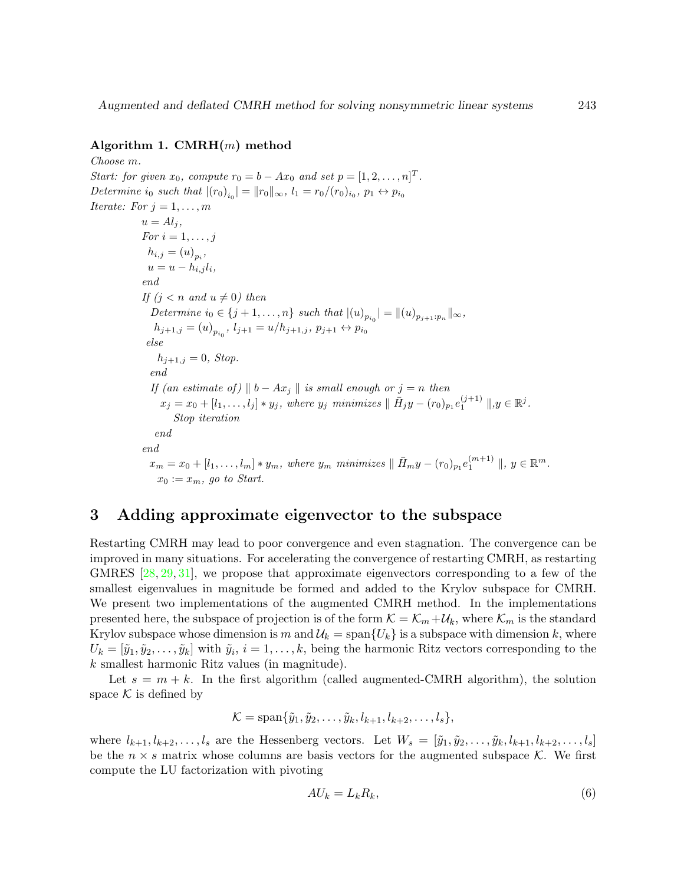### <span id="page-4-0"></span>Algorithm 1.  $CMRH(m)$  method

Choose m. Start: for given  $x_0$ , compute  $r_0 = b - Ax_0$  and set  $p = [1, 2, \ldots, n]^T$ . Determine  $i_0$  such that  $|(r_0)_{i_0}| = ||r_0||_{\infty}$ ,  $l_1 = r_0/(r_0)_{i_0}, p_1 \leftrightarrow p_{i_0}$ Iterate: For  $j = 1, \ldots, m$  $u = Al_i,$ For  $i=1,\ldots,j$  $h_{i,j} = (u)_{p_i},$  $u = u - h_{i,j} l_i,$ end If  $(j < n$  and  $u \neq 0)$  then Determine  $i_0 \in \{j+1, ..., n\}$  such that  $|(u)_{p_{i_0}}| = ||(u)_{p_{j+1}:p_n}||_{\infty}$ ,  $h_{j+1,j} = (u)_{p_{i_0}}, l_{j+1} = u/h_{j+1,j}, p_{j+1} \leftrightarrow p_{i_0}$ else  $h_{j+1,j} = 0$ , Stop. end If (an estimate of)  $||b - Ax_j||$  is small enough or  $j = n$  then  $x_j = x_0 + [l_1, \ldots, l_j] * y_j$ , where  $y_j$  minimizes  $|| \bar{H}_j y - (r_0)_{p_1} e_1^{(j+1)} ||, y \in \mathbb{R}^j$ . Stop iteration end end  $x_m = x_0 + [l_1, \ldots, l_m] * y_m$ , where  $y_m$  minimizes  $|| \bar{H}_m y - (r_0)_{p_1} e_1^{(m+1)} ||$ ,  $y \in \mathbb{R}^m$ .  $x_0 := x_m$ , go to Start.

## 3 Adding approximate eigenvector to the subspace

Restarting CMRH may lead to poor convergence and even stagnation. The convergence can be improved in many situations. For accelerating the convergence of restarting CMRH, as restarting GMRES [\[28,](#page-16-15) [29,](#page-16-7) [31\]](#page-16-8), we propose that approximate eigenvectors corresponding to a few of the smallest eigenvalues in magnitude be formed and added to the Krylov subspace for CMRH. We present two implementations of the augmented CMRH method. In the implementations presented here, the subspace of projection is of the form  $\mathcal{K} = \mathcal{K}_m + \mathcal{U}_k$ , where  $\mathcal{K}_m$  is the standard Krylov subspace whose dimension is m and  $\mathcal{U}_k = \text{span}\{U_k\}$  is a subspace with dimension k, where  $U_k = [\tilde{y}_1, \tilde{y}_2, \dots, \tilde{y}_k]$  with  $\tilde{y}_i, i = 1, \dots, k$ , being the harmonic Ritz vectors corresponding to the k smallest harmonic Ritz values (in magnitude).

Let  $s = m + k$ . In the first algorithm (called augmented-CMRH algorithm), the solution space  $K$  is defined by

$$
\mathcal{K} = \text{span}\{\tilde{y}_1, \tilde{y}_2, \dots, \tilde{y}_k, l_{k+1}, l_{k+2}, \dots, l_s\},\
$$

where  $l_{k+1}, l_{k+2}, \ldots, l_s$  are the Hessenberg vectors. Let  $W_s = [\tilde{y}_1, \tilde{y}_2, \ldots, \tilde{y}_k, l_{k+1}, l_{k+2}, \ldots, l_s]$ be the  $n \times s$  matrix whose columns are basis vectors for the augmented subspace K. We first compute the LU factorization with pivoting

<span id="page-4-1"></span>
$$
AU_k = L_k R_k,\tag{6}
$$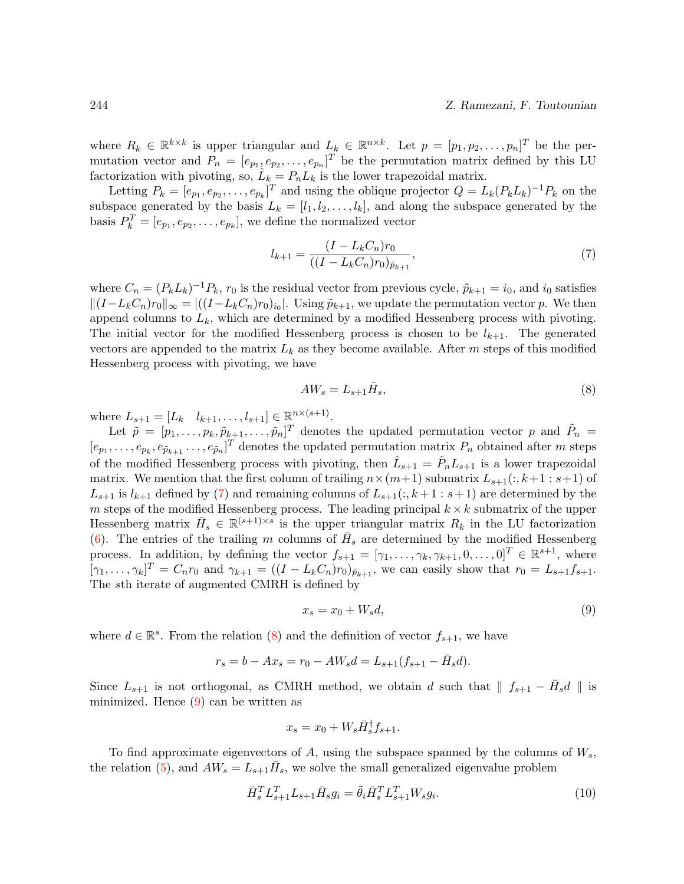where  $R_k \in \mathbb{R}^{k \times k}$  is upper triangular and  $L_k \in \mathbb{R}^{n \times k}$ . Let  $p = [p_1, p_2, \ldots, p_n]^T$  be the permutation vector and  $P_n = [e_{p_1}, e_{p_2}, \dots, e_{p_n}]^T$  be the permutation matrix defined by this LU factorization with pivoting, so,  $\hat{L}_k = P_n L_k$  is the lower trapezoidal matrix.

Letting  $P_k = [e_{p_1}, e_{p_2}, \dots, e_{p_k}]^T$  and using the oblique projector  $Q = L_k(P_k L_k)^{-1} P_k$  on the subspace generated by the basis  $L_k = [l_1, l_2, \ldots, l_k]$ , and along the subspace generated by the basis  $P_k^T = [e_{p_1}, e_{p_2}, \dots, e_{p_k}]$ , we define the normalized vector

<span id="page-5-0"></span>
$$
l_{k+1} = \frac{(I - L_k C_n) r_0}{((I - L_k C_n) r_0)_{\tilde{p}_{k+1}}},\tag{7}
$$

where  $C_n = (P_k L_k)^{-1} P_k$ ,  $r_0$  is the residual vector from previous cycle,  $\tilde{p}_{k+1} = i_0$ , and  $i_0$  satisfies  $||(I-L_kC_n)r_0||_{\infty} = |((I-L_kC_n)r_0)_{i_0}|$ . Using  $\tilde{p}_{k+1}$ , we update the permutation vector p. We then append columns to  $L_k$ , which are determined by a modified Hessenberg process with pivoting. The initial vector for the modified Hessenberg process is chosen to be  $l_{k+1}$ . The generated vectors are appended to the matrix  $L_k$  as they become available. After m steps of this modified Hessenberg process with pivoting, we have

<span id="page-5-1"></span>
$$
AW_s = L_{s+1}\bar{H}_s,\tag{8}
$$

where  $L_{s+1} = [L_k \quad l_{k+1}, \dots, l_{s+1}] \in \mathbb{R}^{n \times (s+1)}$ .

Let  $\tilde{p} = [p_1, \ldots, p_k, \tilde{p}_{k+1}, \ldots, \tilde{p}_n]^T$  denotes the updated permutation vector p and  $\tilde{P}_n =$  $[e_{p_1}, \ldots, e_{p_k}, e_{p_{k+1}}, \ldots, e_{p_n}]^T$  denotes the updated permutation matrix  $P_n$  obtained after m steps of the modified Hessenberg process with pivoting, then  $\hat{L}_{s+1} = \tilde{P}_n L_{s+1}$  is a lower trapezoidal matrix. We mention that the first column of trailing  $n \times (m+1)$  submatrix  $L_{s+1}(:, k+1:s+1)$  of  $L_{s+1}$  is  $l_{k+1}$  defined by [\(7\)](#page-5-0) and remaining columns of  $L_{s+1}(:, k+1:s+1)$  are determined by the m steps of the modified Hessenberg process. The leading principal  $k \times k$  submatrix of the upper Hessenberg matrix  $\bar{H}_s \in \mathbb{R}^{(s+1)\times s}$  is the upper triangular matrix  $R_k$  in the LU factorization [\(6\)](#page-4-1). The entries of the trailing m columns of  $\bar{H}_s$  are determined by the modified Hessenberg process. In addition, by defining the vector  $f_{s+1} = [\gamma_1, \ldots, \gamma_k, \gamma_{k+1}, 0, \ldots, 0]^T \in \mathbb{R}^{s+1}$ , where  $[\gamma_1, \ldots, \gamma_k]^T = C_n r_0$  and  $\gamma_{k+1} = ((I - L_k C_n) r_0)_{\tilde{p}_{k+1}}$ , we can easily show that  $r_0 = L_{s+1} f_{s+1}$ . The sth iterate of augmented CMRH is defined by

<span id="page-5-2"></span>
$$
x_s = x_0 + W_s d,\t\t(9)
$$

where  $d \in \mathbb{R}^s$ . From the relation [\(8\)](#page-5-1) and the definition of vector  $f_{s+1}$ , we have

$$
r_s = b - Ax_s = r_0 - AW_s d = L_{s+1}(f_{s+1} - \bar{H}_s d).
$$

Since  $L_{s+1}$  is not orthogonal, as CMRH method, we obtain d such that  $\| f_{s+1} - \bar{H}_s d \|$  is minimized. Hence [\(9\)](#page-5-2) can be written as

<span id="page-5-3"></span>
$$
x_s = x_0 + W_s \bar{H}_s^{\dagger} f_{s+1}.
$$

To find approximate eigenvectors of A, using the subspace spanned by the columns of  $W_s$ , the relation [\(5\)](#page-3-1), and  $AW_s = L_{s+1}\bar{H}_s$ , we solve the small generalized eigenvalue problem

$$
\bar{H}_s^T L_{s+1}^T L_{s+1} \bar{H}_s g_i = \tilde{\theta}_i \bar{H}_s^T L_{s+1}^T W_s g_i.
$$
\n(10)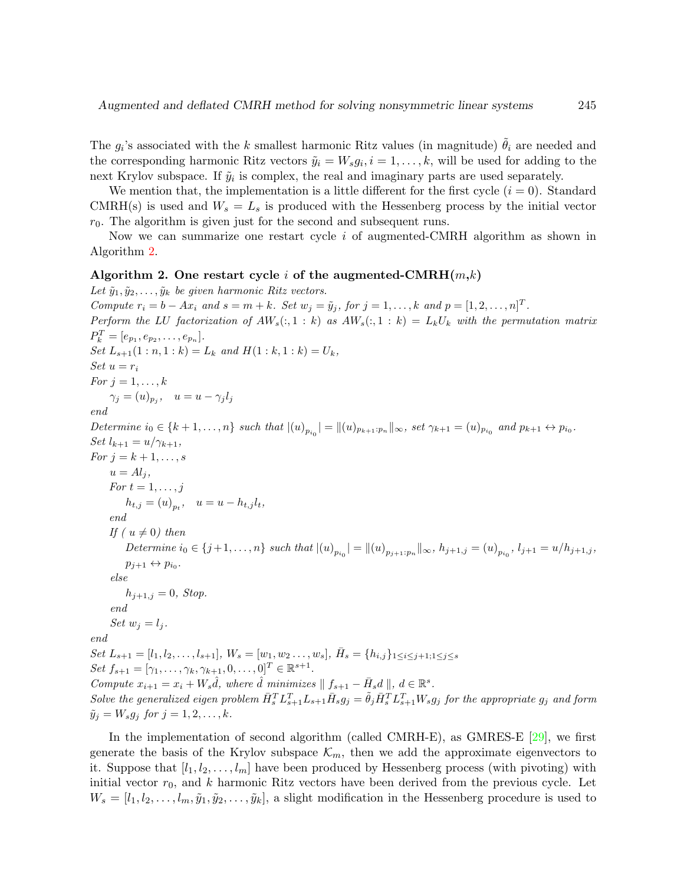The  $g_i$ 's associated with the k smallest harmonic Ritz values (in magnitude)  $\tilde{\theta}_i$  are needed and the corresponding harmonic Ritz vectors  $\tilde{y}_i = W_s g_i, i = 1, \ldots, k$ , will be used for adding to the next Krylov subspace. If  $\tilde{y}_i$  is complex, the real and imaginary parts are used separately.

We mention that, the implementation is a little different for the first cycle  $(i = 0)$ . Standard CMRH(s) is used and  $W_s = L_s$  is produced with the Hessenberg process by the initial vector  $r_0$ . The algorithm is given just for the second and subsequent runs.

Now we can summarize one restart cycle  $i$  of augmented-CMRH algorithm as shown in Algorithm [2.](#page-6-0)

#### <span id="page-6-0"></span>Algorithm 2. One restart cycle i of the augmented-CMRH $(m,k)$

Let  $\tilde{y}_1, \tilde{y}_2, \ldots, \tilde{y}_k$  be given harmonic Ritz vectors. Compute  $r_i = b - Ax_i$  and  $s = m + k$ . Set  $w_j = \tilde{y}_j$ , for  $j = 1, ..., k$  and  $p = [1, 2, ..., n]^T$ . Perform the LU factorization of  $AW_s(:, 1:k)$  as  $AW_s(:, 1:k) = L_kU_k$  with the permutation matrix  $P_k^T = [e_{p_1}, e_{p_2}, \dots, e_{p_n}].$ Set  $L_{s+1}(1:n,1:k) = L_k$  and  $H(1:k,1:k) = U_k$ , Set  $u = r_i$ For  $j = 1, \ldots, k$  $\gamma_j = (u)_{p_j}, \quad u = u - \gamma_j l_j$ end Determine  $i_0 \in \{k+1,\ldots,n\}$  such that  $|(u)_{p_{i_0}}| = ||(u)_{p_{k+1}:p_n}||_{\infty}$ , set  $\gamma_{k+1} = (u)_{p_{i_0}}$  and  $p_{k+1} \leftrightarrow p_{i_0}$ . Set  $l_{k+1} = u/\gamma_{k+1}$ , For  $j = k+1, \ldots, s$  $u = Al_i,$ For  $t = 1, \ldots, j$  $h_{t,j} = (u)_{p_t}, \quad u = u - h_{t,j}l_t,$ end If ( $u \neq 0$ ) then Determine  $i_0 \in \{j+1,\ldots,n\}$  such that  $|(u)_{p_{i_0}}| = ||(u)_{p_{j+1}:p_n}||_{\infty}, h_{j+1,j} = (u)_{p_{i_0}}, l_{j+1} = u/h_{j+1,j},$  $p_{j+1} \leftrightarrow p_{i_0}.$ else  $h_{j+1,j} = 0$ , Stop. end Set  $w_i = l_i$ . end Set  $L_{s+1} = [l_1, l_2, \ldots, l_{s+1}], W_s = [w_1, w_2 \ldots, w_s], \bar{H}_s = \{h_{i,j}\}_{1 \leq i \leq j+1; 1 \leq j \leq s}$ Set  $f_{s+1} = [\gamma_1, \ldots, \gamma_k, \gamma_{k+1}, 0, \ldots, 0]^T \in \mathbb{R}^{s+1}$ . Compute  $x_{i+1} = x_i + W_s \hat{d}$ , where  $\hat{d}$  minimizes  $|| f_{s+1} - \bar{H}_s d ||$ ,  $d \in \mathbb{R}^s$ . Solve the generalized eigen problem  $\bar{H}_s^T L_{s+1}^T L_{s+1} \bar{H}_s g_j = \tilde{\theta}_j \bar{H}_s^T L_{s+1}^T W_s g_j$  for the appropriate  $g_j$  and form  $\tilde{y}_i = W_s g_i$  for  $j = 1, 2, \ldots, k$ .

In the implementation of second algorithm (called CMRH-E), as GMRES-E [\[29\]](#page-16-7), we first generate the basis of the Krylov subspace  $\mathcal{K}_m$ , then we add the approximate eigenvectors to it. Suppose that  $[l_1, l_2, \ldots, l_m]$  have been produced by Hessenberg process (with pivoting) with initial vector  $r_0$ , and k harmonic Ritz vectors have been derived from the previous cycle. Let  $W_s = [l_1, l_2, \ldots, l_m, \tilde{y}_1, \tilde{y}_2, \ldots, \tilde{y}_k],$  a slight modification in the Hessenberg procedure is used to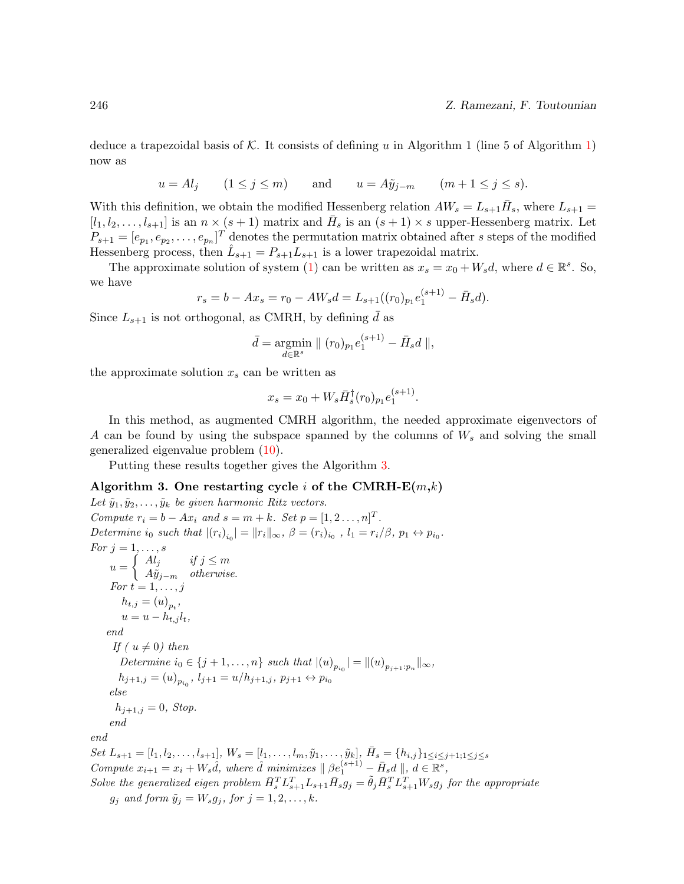deduce a trapezoidal basis of  $K$ . It consists of defining u in Algorithm 1 (line 5 of Algorithm [1\)](#page-4-0) now as

 $u = A l_j$   $(1 \leq j \leq m)$  and  $u = A \tilde{y}_{j-m}$   $(m+1 \leq j \leq s).$ 

With this definition, we obtain the modified Hessenberg relation  $AW_s = L_{s+1}H_s$ , where  $L_{s+1}$  $[l_1, l_2, \ldots, l_{s+1}]$  is an  $n \times (s+1)$  matrix and  $\overline{H}_s$  is an  $(s+1) \times s$  upper-Hessenberg matrix. Let  $P_{s+1} = [e_{p_1}, e_{p_2}, \dots, e_{p_n}]^T$  denotes the permutation matrix obtained after s steps of the modified Hessenberg process, then  $\hat{L}_{s+1} = P_{s+1} L_{s+1}$  is a lower trapezoidal matrix.

The approximate solution of system [\(1\)](#page-0-0) can be written as  $x_s = x_0 + W_s d$ , where  $d \in \mathbb{R}^s$ . So, we have

$$
r_s = b - Ax_s = r_0 - AW_s d = L_{s+1}((r_0)_{p_1}e_1^{(s+1)} - \bar{H}_s d).
$$

Since  $L_{s+1}$  is not orthogonal, as CMRH, by defining  $\bar{d}$  as

$$
\bar{d} = \underset{d \in \mathbb{R}^s}{\text{argmin}} || (r_0)_{p_1} e_1^{(s+1)} - \bar{H}_s d ||,
$$

the approximate solution  $x_s$  can be written as

$$
x_s = x_0 + W_s \bar{H}_s^{\dagger}(r_0)_{p_1} e_1^{(s+1)}.
$$

In this method, as augmented CMRH algorithm, the needed approximate eigenvectors of A can be found by using the subspace spanned by the columns of  $W_s$  and solving the small generalized eigenvalue problem [\(10\)](#page-5-3).

Putting these results together gives the Algorithm [3.](#page-7-0)

#### <span id="page-7-0"></span>Algorithm 3. One restarting cycle i of the CMRH- $E(m,k)$

Let  $\tilde{y}_1, \tilde{y}_2, \ldots, \tilde{y}_k$  be given harmonic Ritz vectors. Compute  $r_i = b - Ax_i$  and  $s = m + k$ . Set  $p = [1, 2, ..., n]^T$ . Determine i<sub>0</sub> such that  $|(r_i)_{i_0}| = ||r_i||_{\infty}, \ \beta = (r_i)_{i_0}, \ l_1 = r_i/\beta, \ p_1 \leftrightarrow p_{i_0}.$ For  $j = 1, \ldots, s$  $u = \begin{cases} A l_j & \text{if } j \leq m \\ A \tilde{z} & \text{if } k \text{ series} \end{cases}$  $A\tilde{y}_{j-m}$  otherwise. For  $t = 1, \ldots, j$  $h_{t,j} = (u)_{p_t},$  $u = u - h_{t,j} l_t,$ end If ( $u \neq 0$ ) then Determine  $i_0 \in \{j+1, ..., n\}$  such that  $|(u)_{p_{i_0}}| = ||(u)_{p_{j+1}:p_n}||_{\infty}$ ,  $h_{j+1,j} = (u)_{p_{i_0}}, l_{j+1} = u/h_{j+1,j}, p_{j+1} \leftrightarrow p_{i_0}$ else  $h_{i+1,j} = 0$ , Stop. end end Set  $L_{s+1} = [l_1, l_2, \ldots, l_{s+1}], W_s = [l_1, \ldots, l_m, \tilde{y}_1, \ldots, \tilde{y}_k], \bar{H}_s = \{h_{i,j}\}_{1 \leq i \leq j+1; 1 \leq j \leq s}$ Compute  $x_{i+1} = x_i + W_s \hat{d}$ , where  $\hat{d}$  minimizes  $|| \beta e_1^{(s+1)} - \bar{H}_s d ||$ ,  $d \in \mathbb{R}^s$ , Solve the generalized eigen problem  $\bar{H}_s^T L_{s+1}^T L_{s+1} \bar{H}_s g_j = \tilde{\theta}_j \bar{H}_s^T L_{s+1}^T W_s g_j$  for the appropriate  $g_j$  and form  $\tilde{y}_j = W_s g_j$ , for  $j = 1, 2, \ldots, k$ .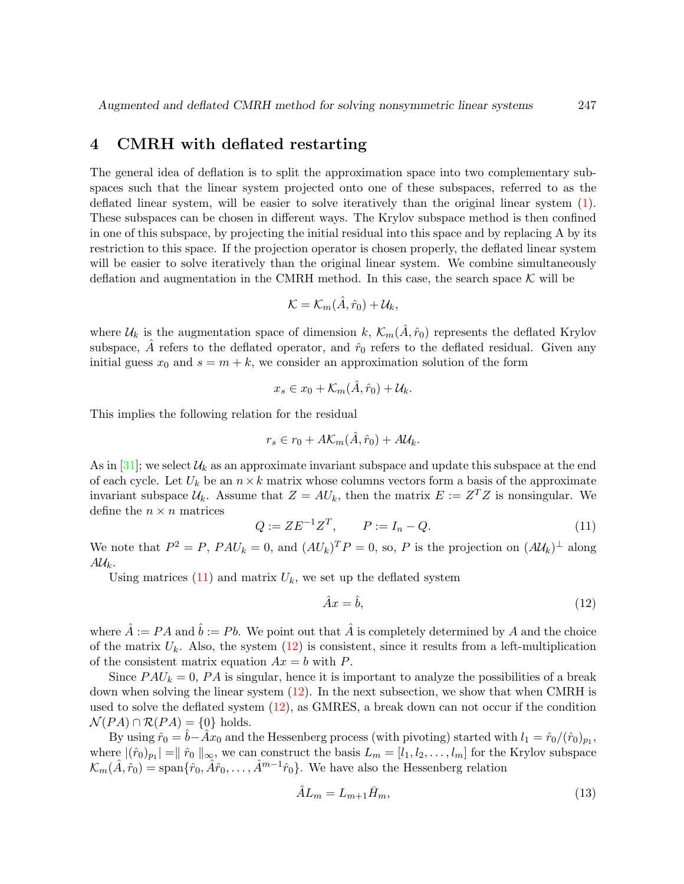## 4 CMRH with deflated restarting

The general idea of deflation is to split the approximation space into two complementary subspaces such that the linear system projected onto one of these subspaces, referred to as the deflated linear system, will be easier to solve iteratively than the original linear system [\(1\)](#page-0-0). These subspaces can be chosen in different ways. The Krylov subspace method is then confined in one of this subspace, by projecting the initial residual into this space and by replacing A by its restriction to this space. If the projection operator is chosen properly, the deflated linear system will be easier to solve iteratively than the original linear system. We combine simultaneously deflation and augmentation in the CMRH method. In this case, the search space  $K$  will be

$$
\mathcal{K}=\mathcal{K}_m(\hat{A},\hat{r}_0)+\mathcal{U}_k,
$$

where  $\mathcal{U}_k$  is the augmentation space of dimension k,  $\mathcal{K}_m(\hat{A}, \hat{r}_0)$  represents the deflated Krylov subspace, A refers to the deflated operator, and  $\hat{r}_0$  refers to the deflated residual. Given any initial guess  $x_0$  and  $s = m + k$ , we consider an approximation solution of the form

$$
x_s \in x_0 + \mathcal{K}_m(\hat{A}, \hat{r}_0) + \mathcal{U}_k.
$$

This implies the following relation for the residual

$$
r_s \in r_0 + A\mathcal{K}_m(\hat{A}, \hat{r}_0) + A\mathcal{U}_k.
$$

As in [\[31\]](#page-16-8); we select  $\mathcal{U}_k$  as an approximate invariant subspace and update this subspace at the end of each cycle. Let  $U_k$  be an  $n \times k$  matrix whose columns vectors form a basis of the approximate invariant subspace  $\mathcal{U}_k$ . Assume that  $Z = AU_k$ , then the matrix  $E := Z^T Z$  is nonsingular. We define the  $n \times n$  matrices

<span id="page-8-0"></span>
$$
Q := ZE^{-1}Z^T, \qquad P := I_n - Q. \tag{11}
$$

We note that  $P^2 = P$ ,  $PAU_k = 0$ , and  $(AU_k)^T P = 0$ , so, P is the projection on  $(AU_k)^{\perp}$  along  $A\mathcal{U}_k$ .

Using matrices  $(11)$  and matrix  $U_k$ , we set up the deflated system

<span id="page-8-1"></span>
$$
\hat{A}x = \hat{b},\tag{12}
$$

where  $\hat{A} := PA$  and  $\hat{b} := Pb$ . We point out that  $\hat{A}$  is completely determined by A and the choice of the matrix  $U_k$ . Also, the system  $(12)$  is consistent, since it results from a left-multiplication of the consistent matrix equation  $Ax = b$  with P.

Since  $PAU_k = 0$ , PA is singular, hence it is important to analyze the possibilities of a break down when solving the linear system [\(12\)](#page-8-1). In the next subsection, we show that when CMRH is used to solve the deflated system [\(12\)](#page-8-1), as GMRES, a break down can not occur if the condition  $\mathcal{N}(PA) \cap \mathcal{R}(PA) = \{0\}$  holds.

By using  $\hat{r}_0 = \hat{b} - \hat{A}x_0$  and the Hessenberg process (with pivoting) started with  $l_1 = \hat{r}_0/(\hat{r}_0)_{p_1}$ , where  $|(\hat{r}_0)_{p_1}| = ||\hat{r}_0||_{\infty}$ , we can construct the basis  $L_m = [l_1, l_2, \ldots, l_m]$  for the Krylov subspace  $\mathcal{K}_m(\hat{A}, \hat{r}_0) = \text{span}\{\hat{r}_0, \hat{A}\hat{r}_0, \dots, \hat{A}^{m-1}\hat{r}_0\}.$  We have also the Hessenberg relation

<span id="page-8-2"></span>
$$
\hat{A}L_m = L_{m+1}\bar{H}_m,\tag{13}
$$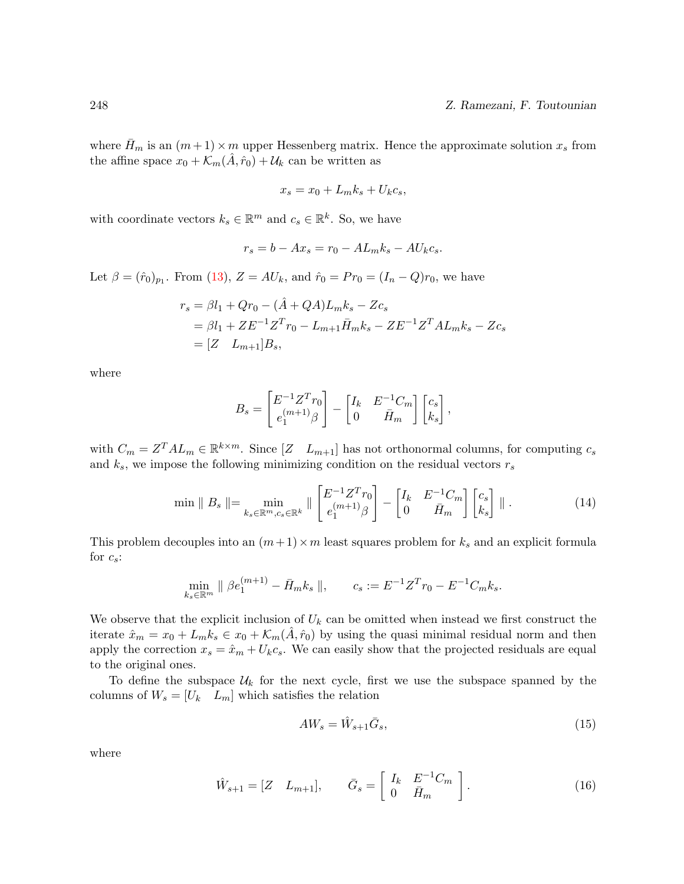where  $H_m$  is an  $(m+1) \times m$  upper Hessenberg matrix. Hence the approximate solution  $x_s$  from the affine space  $x_0 + \mathcal{K}_m(A, \hat{r}_0) + \mathcal{U}_k$  can be written as

$$
x_s = x_0 + L_m k_s + U_k c_s,
$$

with coordinate vectors  $k_s \in \mathbb{R}^m$  and  $c_s \in \mathbb{R}^k$ . So, we have

$$
r_s = b - Ax_s = r_0 - AL_m k_s - AU_k c_s.
$$

Let  $\beta = (\hat{r}_0)_{p_1}$ . From [\(13\)](#page-8-2),  $Z = AU_k$ , and  $\hat{r}_0 = Pr_0 = (I_n - Q)r_0$ , we have

$$
r_s = \beta l_1 + Qr_0 - (\hat{A} + QA)L_m k_s - Zc_s
$$
  
=  $\beta l_1 + ZE^{-1}Z^{T}r_0 - L_{m+1}\bar{H}_m k_s - ZE^{-1}Z^{T}AL_m k_s - Zc_s$   
=  $[Z \quad L_{m+1}]B_s,$ 

where

$$
B_s = \begin{bmatrix} E^{-1}Z^T r_0 \\ e_1^{(m+1)} \beta \end{bmatrix} - \begin{bmatrix} I_k & E^{-1}C_m \\ 0 & \bar{H}_m \end{bmatrix} \begin{bmatrix} c_s \\ k_s \end{bmatrix},
$$

with  $C_m = Z^T A L_m \in \mathbb{R}^{k \times m}$ . Since  $[Z \quad L_{m+1}]$  has not orthonormal columns, for computing  $c_s$ and  $k_s$ , we impose the following minimizing condition on the residual vectors  $r_s$ 

$$
\min \| B_s \| = \min_{k_s \in \mathbb{R}^m, c_s \in \mathbb{R}^k} \| \begin{bmatrix} E^{-1} Z^T r_0 \\ e_1^{(m+1)} \beta \end{bmatrix} - \begin{bmatrix} I_k & E^{-1} C_m \\ 0 & \bar{H}_m \end{bmatrix} \begin{bmatrix} c_s \\ k_s \end{bmatrix} \| \,. \tag{14}
$$

This problem decouples into an  $(m+1) \times m$  least squares problem for  $k_s$  and an explicit formula for  $c_s$ :

$$
\min_{k_s \in \mathbb{R}^m} \| \beta e_1^{(m+1)} - \bar{H}_m k_s \|, \qquad c_s := E^{-1} Z^T r_0 - E^{-1} C_m k_s.
$$

We observe that the explicit inclusion of  $U_k$  can be omitted when instead we first construct the iterate  $\hat{x}_m = x_0 + L_m k_s \in x_0 + \mathcal{K}_m(A, \hat{r}_0)$  by using the quasi minimal residual norm and then apply the correction  $x_s = \hat{x}_m + U_k c_s$ . We can easily show that the projected residuals are equal to the original ones.

To define the subspace  $U_k$  for the next cycle, first we use the subspace spanned by the columns of  $W_s = [U_k \quad L_m]$  which satisfies the relation

<span id="page-9-0"></span>
$$
AW_s = \hat{W}_{s+1}\bar{G}_s,\tag{15}
$$

where

$$
\hat{W}_{s+1} = [Z \quad L_{m+1}], \qquad \bar{G}_s = \begin{bmatrix} I_k & E^{-1}C_m \\ 0 & \bar{H}_m \end{bmatrix} . \tag{16}
$$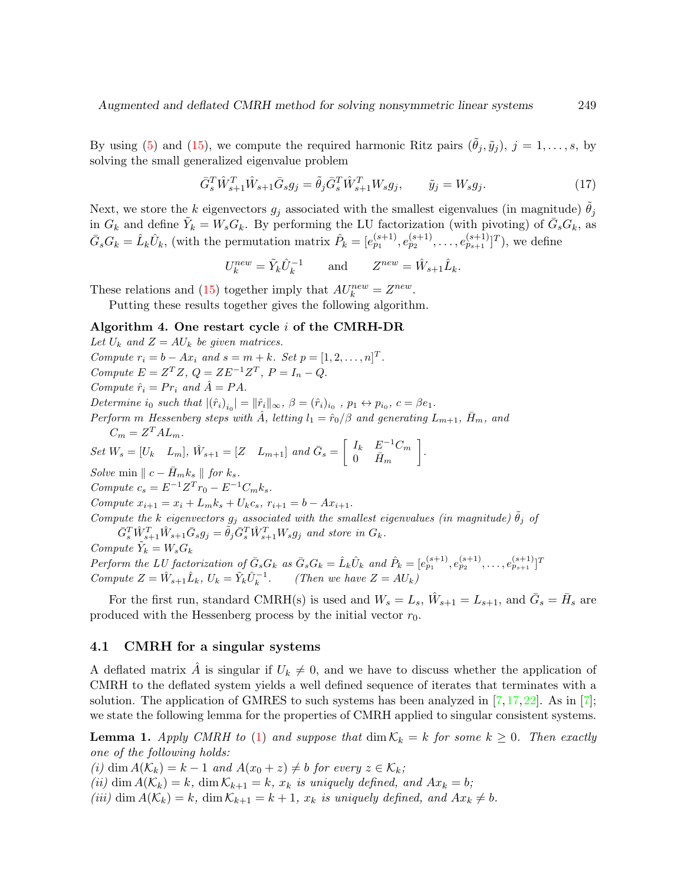By using [\(5\)](#page-3-1) and [\(15\)](#page-9-0), we compute the required harmonic Ritz pairs  $(\theta_j, \tilde{y}_j)$ ,  $j = 1, \ldots, s$ , by solving the small generalized eigenvalue problem

$$
\bar{G}_s^T \hat{W}_{s+1}^T \hat{W}_{s+1} \bar{G}_s g_j = \tilde{\theta}_j \bar{G}_s^T \hat{W}_{s+1}^T W_s g_j, \qquad \tilde{y}_j = W_s g_j. \tag{17}
$$

Next, we store the k eigenvectors  $g_j$  associated with the smallest eigenvalues (in magnitude)  $\theta_j$ in  $G_k$  and define  $\tilde{Y}_k = W_s G_k$ . By performing the LU factorization (with pivoting) of  $\bar{G}_s G_k$ , as  $\bar{G}_s G_k = \hat{L}_k \hat{U}_k$ , (with the permutation matrix  $\hat{P}_k = [e_{p_1}^{(s+1)}, e_{p_2}^{(s+1)}, \dots, e_{p_{s+1}}^{(s+1)}]^T$ ), we define

$$
U_k^{new} = \tilde{Y}_k \hat{U}_k^{-1} \quad \text{and} \quad Z^{new} = \hat{W}_{s+1} \hat{L}_k.
$$

These relations and [\(15\)](#page-9-0) together imply that  $AU_k^{new} = Z^{new}$ .

Putting these results together gives the following algorithm.

#### Algorithm 4. One restart cycle i of the CMRH-DR

Let  $U_k$  and  $Z = AU_k$  be given matrices. Compute  $r_i = b - Ax_i$  and  $s = m + k$ . Set  $p = [1, 2, ..., n]^T$ . Compute  $E = Z^T Z$ ,  $Q = Z E^{-1} Z^T$ ,  $P = I_n - Q$ . Compute  $\hat{r}_i = Pr_i$  and  $\hat{A} = PA$ . Determine  $i_0$  such that  $|(\hat{r}_i)_{i_0}| = ||\hat{r}_i||_{\infty}, \ \beta = (\hat{r}_i)_{i_0}, \ p_1 \leftrightarrow p_{i_0}, \ c = \beta e_1.$ Perform m Hessenberg steps with  $\hat{A}$ , letting  $l_1 = \hat{r}_0/\beta$  and generating  $L_{m+1}$ ,  $\bar{H}_m$ , and  $C_m = Z^T A L_m.$  $Set\ W_s = [U_k \quad L_m],\ \hat{W}_{s+1} = [Z \quad L_{m+1}] \ \ and \ \bar{G}_s = \begin{bmatrix} I_k \quad E^{-1}C_m \end{bmatrix}$  $0$   $\bar{H}_m$  . Solve min  $\| c - \bar{H}_m k_s \|$  for  $k_s$ . Compute  $c_s = E^{-1}Z^{T}r_0 - E^{-1}C_{m}k_s$ . Compute  $x_{i+1} = x_i + L_m k_s + U_k c_s$ ,  $r_{i+1} = b - Ax_{i+1}$ . Compute the k eigenvectors  $g_j$  associated with the smallest eigenvalues (in magnitude)  $\tilde{\theta}_j$  of  $\bar{G}_s^T \hat{W}_{s+1}^T \hat{W}_{s+1} \bar{G}_s g_j = \tilde{\theta}_j \bar{G}_s^T \hat{W}_{s+1}^T W_s g_j$  and store in  $G_k$ . Compute  $\tilde{Y}_k = W_s G_k$ 

Perform the LU factorization of  $\bar{G}_s G_k$  as  $\bar{G}_s G_k = \hat{L}_k \hat{U}_k$  and  $\hat{P}_k = [e_{p_1}^{(s+1)}, e_{p_2}^{(s+1)}, \dots, e_{p_{s+1}}^{(s+1)}]^T$ Compute  $Z = \hat{W}_{s+1} \hat{L}_k$ ,  $U_k = \tilde{Y}_k \hat{U}_k^{-1}$ . (Then we have  $Z = AU_k$ )

For the first run, standard CMRH(s) is used and  $W_s = L_s$ ,  $\hat{W}_{s+1} = L_{s+1}$ , and  $\bar{G}_s = \bar{H}_s$  are produced with the Hessenberg process by the initial vector  $r_0$ .

#### 4.1 CMRH for a singular systems

A deflated matrix  $\hat{A}$  is singular if  $U_k \neq 0$ , and we have to discuss whether the application of CMRH to the deflated system yields a well defined sequence of iterates that terminates with a solution. The application of GMRES to such systems has been analyzed in  $[7,17,22]$  $[7,17,22]$  $[7,17,22]$ . As in  $[7]$ ; we state the following lemma for the properties of CMRH applied to singular consistent systems.

**Lemma 1.** Apply CMRH to [\(1\)](#page-0-0) and suppose that  $\dim K_k = k$  for some  $k \geq 0$ . Then exactly one of the following holds:

(i) dim  $A(\mathcal{K}_k) = k - 1$  and  $A(x_0 + z) \neq b$  for every  $z \in \mathcal{K}_k$ ;

(ii) dim  $A(\mathcal{K}_k) = k$ , dim  $\mathcal{K}_{k+1} = k$ ,  $x_k$  is uniquely defined, and  $Ax_k = b$ ;

(iii) dim  $A(\mathcal{K}_k) = k$ , dim  $\mathcal{K}_{k+1} = k+1$ ,  $x_k$  is uniquely defined, and  $Ax_k \neq b$ .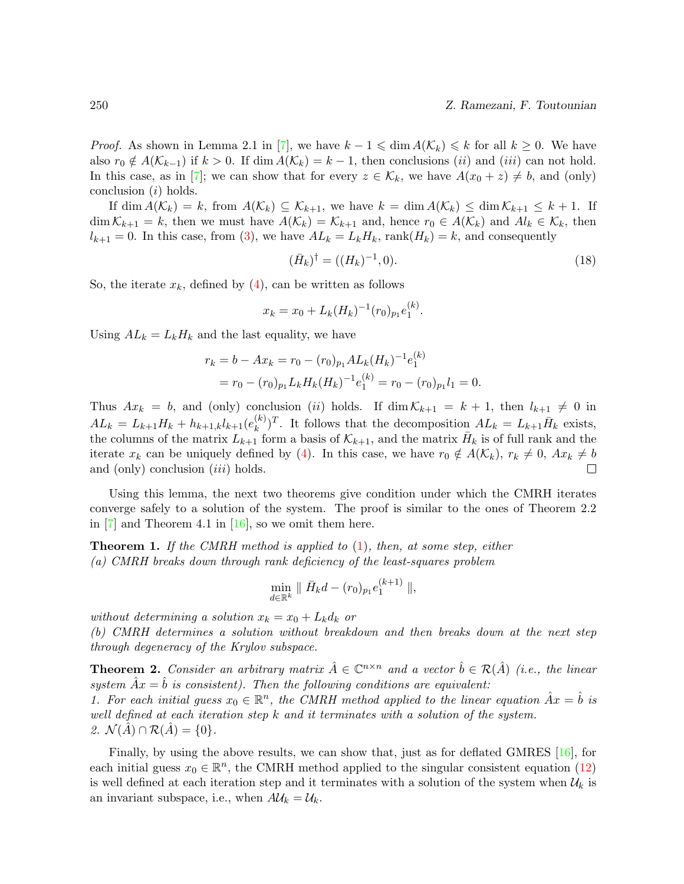*Proof.* As shown in Lemma 2.1 in [\[7\]](#page-15-13), we have  $k - 1 \leq \dim A(\mathcal{K}_k) \leq k$  for all  $k \geq 0$ . We have also  $r_0 \notin A(\mathcal{K}_{k-1})$  if  $k > 0$ . If dim  $A(\mathcal{K}_k) = k - 1$ , then conclusions (ii) and (iii) can not hold. In this case, as in [\[7\]](#page-15-13); we can show that for every  $z \in \mathcal{K}_k$ , we have  $A(x_0 + z) \neq b$ , and (only) conclusion (i) holds.

If  $\dim A(\mathcal{K}_k) = k$ , from  $A(\mathcal{K}_k) \subseteq \mathcal{K}_{k+1}$ , we have  $k = \dim A(\mathcal{K}_k) \leq \dim \mathcal{K}_{k+1} \leq k+1$ . If  $\dim \mathcal{K}_{k+1} = k$ , then we must have  $A(\mathcal{K}_k) = \mathcal{K}_{k+1}$  and, hence  $r_0 \in A(\mathcal{K}_k)$  and  $Al_k \in \mathcal{K}_k$ , then  $l_{k+1} = 0$ . In this case, from [\(3\)](#page-3-0), we have  $AL_k = L_k H_k$ , rank $(H_k) = k$ , and consequently

$$
(\bar{H}_k)^{\dagger} = ((H_k)^{-1}, 0). \tag{18}
$$

So, the iterate  $x_k$ , defined by [\(4\)](#page-3-2), can be written as follows

$$
x_k = x_0 + L_k(H_k)^{-1}(r_0)_{p_1}e_1^{(k)}.
$$

Using  $AL_k = L_kH_k$  and the last equality, we have

$$
r_k = b - Ax_k = r_0 - (r_0)_{p_1} AL_k(H_k)^{-1} e_1^{(k)}
$$
  
=  $r_0 - (r_0)_{p_1} L_k H_k(H_k)^{-1} e_1^{(k)} = r_0 - (r_0)_{p_1} l_1 = 0.$ 

Thus  $Ax_k = b$ , and (only) conclusion (ii) holds. If  $\dim K_{k+1} = k+1$ , then  $l_{k+1} \neq 0$  in  $AL_k = L_{k+1}H_k + h_{k+1,k}l_{k+1}(e_k^{(k)})$  $(k)$ <sup>T</sup>. It follows that the decomposition  $AL_k = L_{k+1} \bar{H}_k$  exists, the columns of the matrix  $L_{k+1}$  form a basis of  $\mathcal{K}_{k+1}$ , and the matrix  $\bar{H}_k$  is of full rank and the iterate  $x_k$  can be uniquely defined by [\(4\)](#page-3-2). In this case, we have  $r_0 \notin A(\mathcal{K}_k)$ ,  $r_k \neq 0$ ,  $Ax_k \neq b$ and (only) conclusion *(iii)* holds.  $\Box$ 

Using this lemma, the next two theorems give condition under which the CMRH iterates converge safely to a solution of the system. The proof is similar to the ones of Theorem 2.2 in  $[7]$  and Theorem 4.1 in  $[16]$ , so we omit them here.

**Theorem 1.** If the CMRH method is applied to  $(1)$ , then, at some step, either (a) CMRH breaks down through rank deficiency of the least-squares problem

$$
\min_{d \in \mathbb{R}^k} \parallel \bar{H}_k d - (r_0)_{p_1} e_1^{(k+1)} \parallel,
$$

without determining a solution  $x_k = x_0 + L_k d_k$  or

(b) CMRH determines a solution without breakdown and then breaks down at the next step through degeneracy of the Krylov subspace.

**Theorem 2.** Consider an arbitrary matrix  $\hat{A} \in \mathbb{C}^{n \times n}$  and a vector  $\hat{b} \in \mathcal{R}(\hat{A})$  (i.e., the linear system  $Ax = b$  is consistent). Then the following conditions are equivalent: 1. For each initial guess  $x_0 \in \mathbb{R}^n$ , the CMRH method applied to the linear equation  $\hat{A}x = \hat{b}$  is well defined at each iteration step k and it terminates with a solution of the system. 2.  $\mathcal{N}(A) \cap \mathcal{R}(A) = \{0\}.$ 

Finally, by using the above results, we can show that, just as for deflated GMRES [\[16\]](#page-15-14), for each initial guess  $x_0 \in \mathbb{R}^n$ , the CMRH method applied to the singular consistent equation [\(12\)](#page-8-1) is well defined at each iteration step and it terminates with a solution of the system when  $\mathcal{U}_k$  is an invariant subspace, i.e., when  $A\mathcal{U}_k = \mathcal{U}_k$ .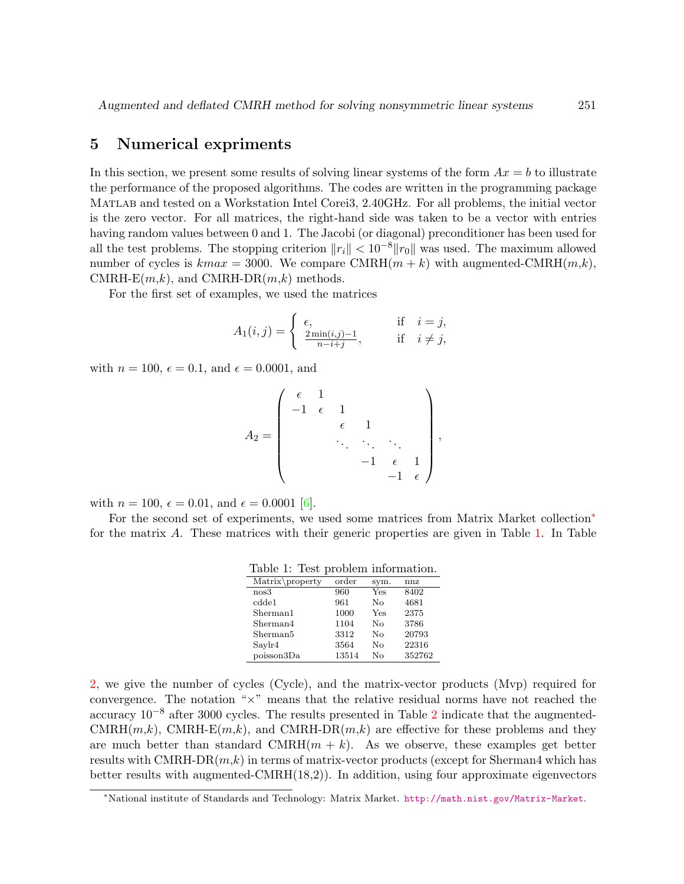### 5 Numerical expriments

In this section, we present some results of solving linear systems of the form  $Ax = b$  to illustrate the performance of the proposed algorithms. The codes are written in the programming package Matlab and tested on a Workstation Intel Corei3, 2.40GHz. For all problems, the initial vector is the zero vector. For all matrices, the right-hand side was taken to be a vector with entries having random values between 0 and 1. The Jacobi (or diagonal) preconditioner has been used for all the test problems. The stopping criterion  $||r_i|| < 10^{-8}||r_0||$  was used. The maximum allowed number of cycles is  $kmax = 3000$ . We compare CMRH $(m + k)$  with augmented-CMRH $(m, k)$ , CMRH-E $(m,k)$ , and CMRH-DR $(m,k)$  methods.

For the first set of examples, we used the matrices

$$
A_1(i,j) = \begin{cases} \epsilon, & \text{if } i = j, \\ \frac{2\min(i,j)-1}{n-i+j}, & \text{if } i \neq j, \end{cases}
$$

with  $n = 100$ ,  $\epsilon = 0.1$ , and  $\epsilon = 0.0001$ , and

$$
A_2 = \begin{pmatrix} \epsilon & 1 & & & \\ -1 & \epsilon & 1 & & \\ & & \epsilon & 1 & \\ & & & \ddots & \ddots & \\ & & & & -1 & \epsilon \end{pmatrix},
$$

with  $n = 100$ ,  $\epsilon = 0.01$ , and  $\epsilon = 0.0001$  [\[6\]](#page-15-15).

For the second set of experiments, we used some matrices from Matrix Market collection<sup>\*</sup> for the matrix A. These matrices with their generic properties are given in Table [1.](#page-12-1) In Table

<span id="page-12-1"></span>

|  | Table 1: Test problem information. |
|--|------------------------------------|
|--|------------------------------------|

| $Matrix\$            | order | sym.         | nnz    |
|----------------------|-------|--------------|--------|
| nos3                 | 960   | Yes          | 8402   |
| c d d e 1            | 961   | Nο           | 4681   |
| Sherman1             | 1000  | Yes          | 2375   |
| Sherman4             | 1104  | No           | 3786   |
| Sherman <sub>5</sub> | 3312  | No           | 20793  |
| Saylr4               | 3564  | $N_{\Omega}$ | 22316  |
| poisson3Da           | 13514 | Nο           | 352762 |

[2,](#page-13-0) we give the number of cycles (Cycle), and the matrix-vector products (Mvp) required for convergence. The notation "×" means that the relative residual norms have not reached the accuracy  $10^{-8}$  after 3000 cycles. The results presented in Table [2](#page-13-0) indicate that the augmented- $CMRH(m,k)$ , CMRH-E $(m,k)$ , and CMRH-DR $(m,k)$  are effective for these problems and they are much better than standard  $\text{CMRH}(m + k)$ . As we observe, these examples get better results with CMRH-DR $(m,k)$  in terms of matrix-vector products (except for Sherman4 which has better results with augmented-CMRH(18,2)). In addition, using four approximate eigenvectors

<span id="page-12-0"></span><sup>∗</sup>National institute of Standards and Technology: Matrix Market. <http://math.nist.gov/Matrix-Market>.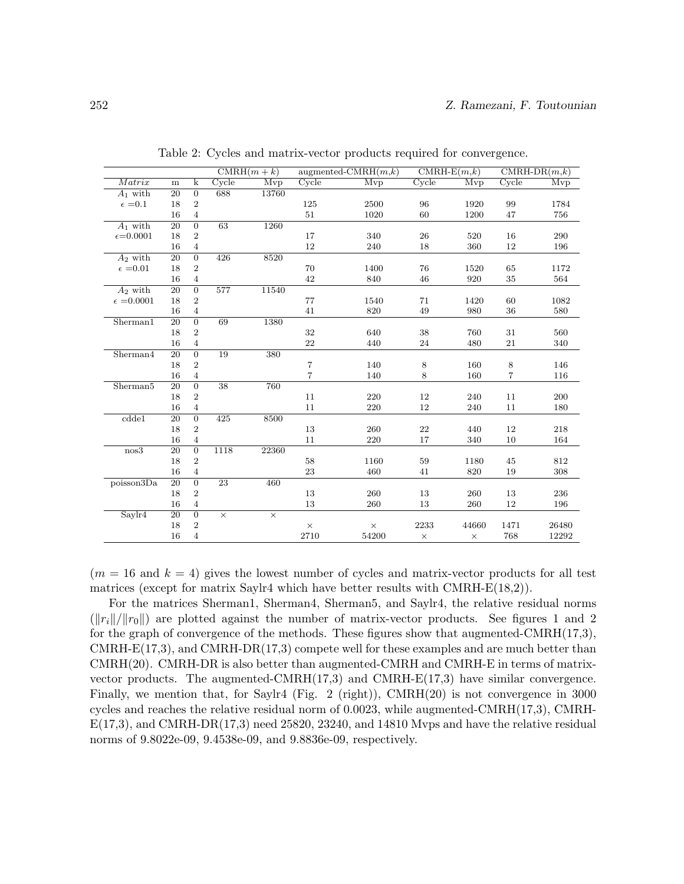|                      |                 |                  |                 | $CMRH(m+k)$ | augmented-CMRH $(m,k)$ |          | $CMRH-E(m,k)$ |          | $CMRH-DR(m,k)$ |       |
|----------------------|-----------------|------------------|-----------------|-------------|------------------------|----------|---------------|----------|----------------|-------|
| Matrix               | m               | k                | Cycle           | Mvp         | Cycle                  | Mvp      | Cycle         | Mvp      | Cycle          | Mvp   |
| $A_1$ with           | 20              | $\mathbf{0}$     | 688             | 13760       |                        |          |               |          |                |       |
| $\epsilon = 0.1$     | 18              | $\,2$            |                 |             | 125                    | 2500     | 96            | 1920     | 99             | 1784  |
|                      | 16              | $\overline{4}$   |                 |             | $51\,$                 | 1020     | 60            | 1200     | 47             | 756   |
| $A_1$ with           | $\overline{20}$ | $\overline{0}$   | 63              | 1260        |                        |          |               |          |                |       |
| $\epsilon = 0.0001$  | 18              | $\boldsymbol{2}$ |                 |             | 17                     | 340      | 26            | 520      | 16             | 290   |
|                      | 16              | $\overline{4}$   |                 |             | 12                     | 240      | 18            | 360      | 12             | 196   |
| $A_2$ with           | $\overline{20}$ | $\overline{0}$   | 426             | 8520        |                        |          |               |          |                |       |
| $\epsilon = 0.01$    | 18              | $\,2$            |                 |             | 70                     | 1400     | 76            | 1520     | 65             | 1172  |
|                      | 16              | $\overline{4}$   |                 |             | 42                     | 840      | 46            | 920      | 35             | 564   |
| $A_2$ with           | $\overline{20}$ | $\overline{0}$   | 577             | 11540       |                        |          |               |          |                |       |
| $\epsilon$ =0.0001   | 18              | $\,2$            |                 |             | 77                     | 1540     | 71            | 1420     | 60             | 1082  |
|                      | 16              | $\,4\,$          |                 |             | 41                     | 820      | 49            | 980      | 36             | 580   |
| Sherman1             | 20              | $\boldsymbol{0}$ | 69              | 1380        |                        |          |               |          |                |       |
|                      | 18              | 2                |                 |             | 32                     | 640      | $38\,$        | 760      | 31             | 560   |
|                      | 16              | 4                |                 |             | 22                     | 440      | 24            | 480      | 21             | 340   |
| Sherman4             | 20              | $\boldsymbol{0}$ | 19              | 380         |                        |          |               |          |                |       |
|                      | 18              | $\boldsymbol{2}$ |                 |             | 7                      | 140      | 8             | 160      | 8              | 146   |
|                      | 16              | $\overline{4}$   |                 |             | $\overline{7}$         | 140      | 8             | 160      | $\,7$          | 116   |
| Sherman <sub>5</sub> | $\overline{20}$ | $\overline{0}$   | $\overline{38}$ | 760         |                        |          |               |          |                |       |
|                      | 18              | $\boldsymbol{2}$ |                 |             | 11                     | 220      | 12            | 240      | 11             | 200   |
|                      | 16              | $\overline{4}$   |                 |             | 11                     | 220      | 12            | 240      | 11             | 180   |
| cdde1                | $\overline{20}$ | $\boldsymbol{0}$ | 425             | 8500        |                        |          |               |          |                |       |
|                      | 18              | $\boldsymbol{2}$ |                 |             | 13                     | 260      | 22            | 440      | 12             | 218   |
|                      | 16              | $\sqrt{4}$       |                 |             | 11                     | 220      | 17            | 340      | 10             | 164   |
| nos3                 | 20              | $\overline{0}$   | 1118            | 22360       |                        |          |               |          |                |       |
|                      | 18              | $\,2$            |                 |             | 58                     | 1160     | 59            | 1180     | 45             | 812   |
|                      | 16              | $\,4\,$          |                 |             | 23                     | 460      | 41            | 820      | 19             | 308   |
| poisson3Da           | 20              | $\boldsymbol{0}$ | 23              | 460         |                        |          |               |          |                |       |
|                      | 18              | 2                |                 |             | 13                     | 260      | 13            | 260      | 13             | 236   |
|                      | 16              | 4                |                 |             | 13                     | 260      | 13            | 260      | 12             | 196   |
| Saylr4               | $\overline{20}$ | $\overline{0}$   | $\times$        | $\times$    |                        |          |               |          |                |       |
|                      | 18              | $\,2$            |                 |             | $\times$               | $\times$ | 2233          | 44660    | 1471           | 26480 |
|                      | 16              | $\overline{4}$   |                 |             | 2710                   | 54200    | $\times$      | $\times$ | 768            | 12292 |

<span id="page-13-0"></span>Table 2: Cycles and matrix-vector products required for convergence.

 $(m = 16$  and  $k = 4)$  gives the lowest number of cycles and matrix-vector products for all test matrices (except for matrix Saylr4 which have better results with CMRH-E(18,2)).

For the matrices Sherman1, Sherman4, Sherman5, and Saylr4, the relative residual norms  $(\|r_i\|/\|r_0\|)$  are plotted against the number of matrix-vector products. See figures 1 and 2 for the graph of convergence of the methods. These figures show that augmented-CMRH(17,3),  $CMRH-E(17,3)$ , and  $CMRH-DR(17,3)$  compete well for these examples and are much better than CMRH(20). CMRH-DR is also better than augmented-CMRH and CMRH-E in terms of matrixvector products. The augmented-CMRH $(17,3)$  and CMRH- $E(17,3)$  have similar convergence. Finally, we mention that, for Saylr4 (Fig. 2 (right)),  $CMRH(20)$  is not convergence in 3000 cycles and reaches the relative residual norm of  $0.0023$ , while augmented-CMRH $(17,3)$ , CMRH- $E(17,3)$ , and CMRH-DR $(17,3)$  need 25820, 23240, and 14810 Myps and have the relative residual norms of 9.8022e-09, 9.4538e-09, and 9.8836e-09, respectively.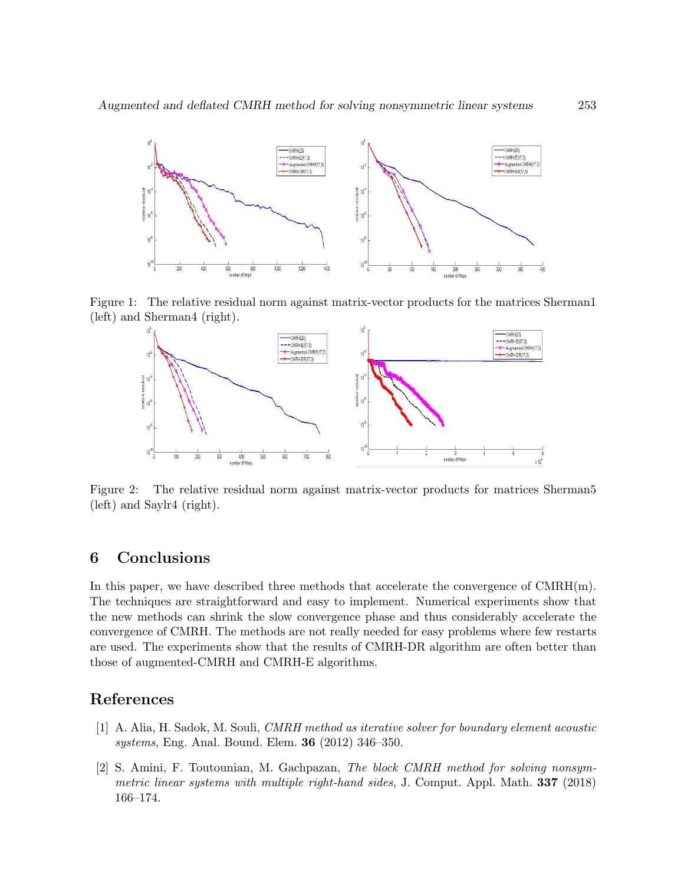

Figure 1: The relative residual norm against matrix-vector products for the matrices Sherman1 (left) and Sherman4 (right).



Figure 2: The relative residual norm against matrix-vector products for matrices Sherman5 (left) and Saylr4 (right).

## 6 Conclusions

In this paper, we have described three methods that accelerate the convergence of  $CMRH(m)$ . The techniques are straightforward and easy to implement. Numerical experiments show that the new methods can shrink the slow convergence phase and thus considerably accelerate the convergence of CMRH. The methods are not really needed for easy problems where few restarts are used. The experiments show that the results of CMRH-DR algorithm are often better than those of augmented-CMRH and CMRH-E algorithms.

## References

- <span id="page-14-0"></span>[1] A. Alia, H. Sadok, M. Souli, CMRH method as iterative solver for boundary element acoustic systems, Eng. Anal. Bound. Elem. 36 (2012) 346–350.
- [2] S. Amini, F. Toutounian, M. Gachpazan, The block CMRH method for solving nonsymmetric linear systems with multiple right-hand sides, J. Comput. Appl. Math. 337 (2018) 166–174.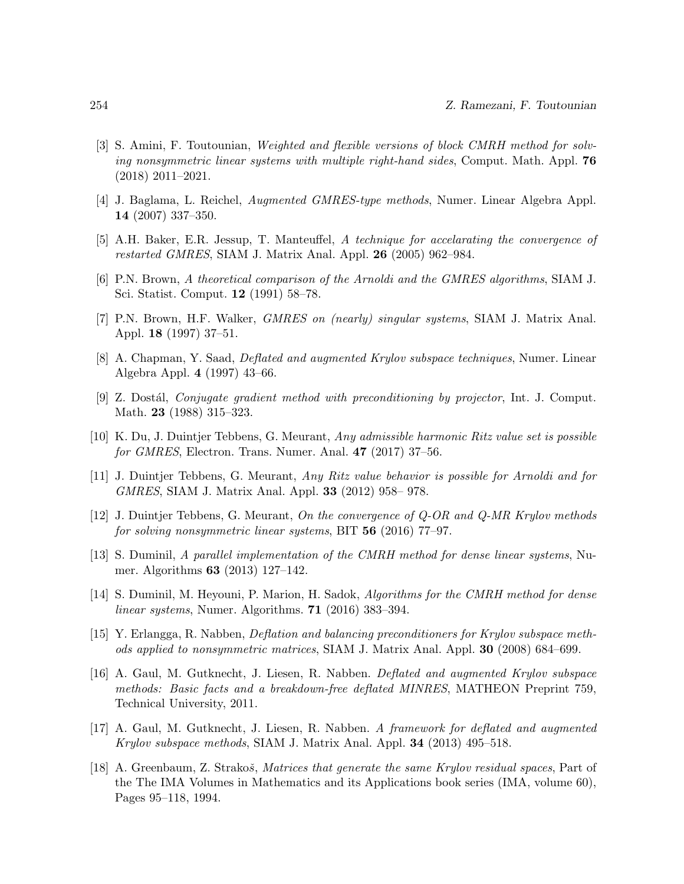- <span id="page-15-0"></span>[3] S. Amini, F. Toutounian, Weighted and flexible versions of block CMRH method for solving nonsymmetric linear systems with multiple right-hand sides, Comput. Math. Appl.  $76$ (2018) 2011–2021.
- <span id="page-15-9"></span>[4] J. Baglama, L. Reichel, Augmented GMRES-type methods, Numer. Linear Algebra Appl. 14 (2007) 337–350.
- <span id="page-15-10"></span>[5] A.H. Baker, E.R. Jessup, T. Manteuffel, A technique for accelarating the convergence of restarted GMRES, SIAM J. Matrix Anal. Appl. 26 (2005) 962–984.
- <span id="page-15-15"></span>[6] P.N. Brown, A theoretical comparison of the Arnoldi and the GMRES algorithms, SIAM J. Sci. Statist. Comput. 12 (1991) 58–78.
- <span id="page-15-13"></span>[7] P.N. Brown, H.F. Walker, GMRES on (nearly) singular systems, SIAM J. Matrix Anal. Appl. 18 (1997) 37–51.
- <span id="page-15-4"></span>[8] A. Chapman, Y. Saad, Deflated and augmented Krylov subspace techniques, Numer. Linear Algebra Appl. 4 (1997) 43–66.
- <span id="page-15-3"></span>[9] Z. Dostál, *Conjugate gradient method with preconditioning by projector*, Int. J. Comput. Math. **23** (1988) 315–323.
- <span id="page-15-8"></span>[10] K. Du, J. Duintjer Tebbens, G. Meurant, Any admissible harmonic Ritz value set is possible for GMRES, Electron. Trans. Numer. Anal. 47 (2017) 37–56.
- <span id="page-15-7"></span>[11] J. Duintjer Tebbens, G. Meurant, Any Ritz value behavior is possible for Arnoldi and for GMRES, SIAM J. Matrix Anal. Appl. 33 (2012) 958– 978.
- <span id="page-15-5"></span>[12] J. Duintjer Tebbens, G. Meurant, On the convergence of Q-OR and Q-MR Krylov methods for solving nonsymmetric linear systems, BIT  $56$  (2016) 77–97.
- <span id="page-15-2"></span>[13] S. Duminil, A parallel implementation of the CMRH method for dense linear systems, Numer. Algorithms 63 (2013) 127–142.
- <span id="page-15-1"></span>[14] S. Duminil, M. Heyouni, P. Marion, H. Sadok, Algorithms for the CMRH method for dense linear systems, Numer. Algorithms. 71 (2016) 383–394.
- <span id="page-15-11"></span>[15] Y. Erlangga, R. Nabben, Deflation and balancing preconditioners for Krylov subspace methods applied to nonsymmetric matrices, SIAM J. Matrix Anal. Appl. 30 (2008) 684–699.
- <span id="page-15-14"></span>[16] A. Gaul, M. Gutknecht, J. Liesen, R. Nabben. Deflated and augmented Krylov subspace methods: Basic facts and a breakdown-free deflated MINRES, MATHEON Preprint 759, Technical University, 2011.
- <span id="page-15-12"></span>[17] A. Gaul, M. Gutknecht, J. Liesen, R. Nabben. A framework for deflated and augmented Krylov subspace methods, SIAM J. Matrix Anal. Appl. 34 (2013) 495–518.
- <span id="page-15-6"></span>[18] A. Greenbaum, Z. Strakos, Matrices that generate the same Krylov residual spaces, Part of the The IMA Volumes in Mathematics and its Applications book series (IMA, volume 60), Pages 95–118, 1994.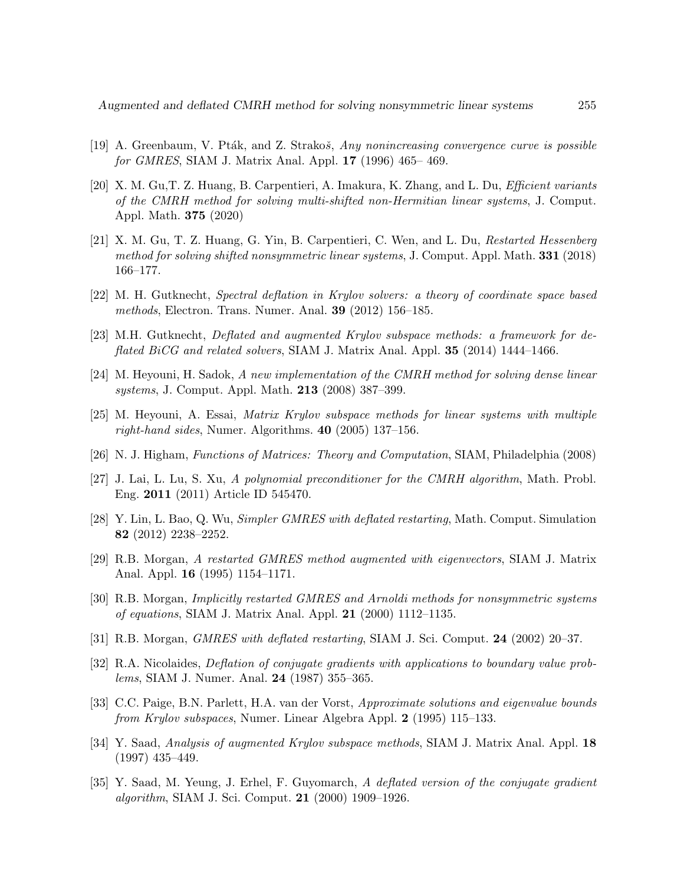- <span id="page-16-10"></span>[19] A. Greenbaum, V. Pták, and Z. Strakoš, Any nonincreasing convergence curve is possible for GMRES, SIAM J. Matrix Anal. Appl. 17 (1996) 465– 469.
- <span id="page-16-1"></span>[20] X. M. Gu,T. Z. Huang, B. Carpentieri, A. Imakura, K. Zhang, and L. Du, Efficient variants of the CMRH method for solving multi-shifted non-Hermitian linear systems, J. Comput. Appl. Math. 375 (2020)
- <span id="page-16-2"></span>[21] X. M. Gu, T. Z. Huang, G. Yin, B. Carpentieri, C. Wen, and L. Du, Restarted Hessenberg method for solving shifted nonsymmetric linear systems, J. Comput. Appl. Math. 331 (2018) 166–177.
- <span id="page-16-11"></span>[22] M. H. Gutknecht, Spectral deflation in Krylov solvers: a theory of coordinate space based methods, Electron. Trans. Numer. Anal. 39 (2012) 156–185.
- <span id="page-16-12"></span>[23] M.H. Gutknecht, Deflated and augmented Krylov subspace methods: a framework for deflated BiCG and related solvers, SIAM J. Matrix Anal. Appl. 35 (2014) 1444–1466.
- <span id="page-16-0"></span>[24] M. Heyouni, H. Sadok, A new implementation of the CMRH method for solving dense linear systems, J. Comput. Appl. Math. 213 (2008) 387–399.
- <span id="page-16-3"></span>[25] M. Heyouni, A. Essai, Matrix Krylov subspace methods for linear systems with multiple right-hand sides, Numer. Algorithms. 40 (2005) 137–156.
- <span id="page-16-13"></span>[26] N. J. Higham, Functions of Matrices: Theory and Computation, SIAM, Philadelphia (2008)
- <span id="page-16-4"></span>[27] J. Lai, L. Lu, S. Xu, A polynomial preconditioner for the CMRH algorithm, Math. Probl. Eng. 2011 (2011) Article ID 545470.
- <span id="page-16-15"></span>[28] Y. Lin, L. Bao, Q. Wu, Simpler GMRES with deflated restarting, Math. Comput. Simulation 82 (2012) 2238–2252.
- <span id="page-16-7"></span>[29] R.B. Morgan, A restarted GMRES method augmented with eigenvectors, SIAM J. Matrix Anal. Appl. 16 (1995) 1154–1171.
- [30] R.B. Morgan, Implicitly restarted GMRES and Arnoldi methods for nonsymmetric systems of equations, SIAM J. Matrix Anal. Appl. 21 (2000) 1112–1135.
- <span id="page-16-8"></span>[31] R.B. Morgan, *GMRES with deflated restarting*, SIAM J. Sci. Comput. **24** (2002) 20–37.
- <span id="page-16-5"></span>[32] R.A. Nicolaides, Deflation of conjugate gradients with applications to boundary value problems, SIAM J. Numer. Anal. 24 (1987) 355–365.
- <span id="page-16-14"></span>[33] C.C. Paige, B.N. Parlett, H.A. van der Vorst, Approximate solutions and eigenvalue bounds from Krylov subspaces, Numer. Linear Algebra Appl. 2 (1995) 115–133.
- <span id="page-16-9"></span>[34] Y. Saad, Analysis of augmented Krylov subspace methods, SIAM J. Matrix Anal. Appl. 18 (1997) 435–449.
- <span id="page-16-6"></span>[35] Y. Saad, M. Yeung, J. Erhel, F. Guyomarch, A deflated version of the conjugate gradient algorithm, SIAM J. Sci. Comput. 21 (2000) 1909–1926.